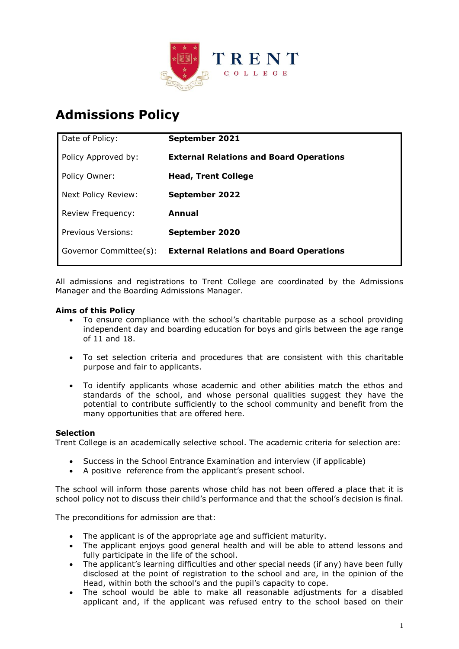

# **Admissions Policy**

| Date of Policy:        | September 2021                                 |
|------------------------|------------------------------------------------|
| Policy Approved by:    | <b>External Relations and Board Operations</b> |
| Policy Owner:          | <b>Head, Trent College</b>                     |
| Next Policy Review:    | <b>September 2022</b>                          |
| Review Frequency:      | Annual                                         |
| Previous Versions:     | September 2020                                 |
| Governor Committee(s): | <b>External Relations and Board Operations</b> |
|                        |                                                |

All admissions and registrations to Trent College are coordinated by the Admissions Manager and the Boarding Admissions Manager.

# **Aims of this Policy**

- To ensure compliance with the school's charitable purpose as a school providing independent day and boarding education for boys and girls between the age range of 11 and 18.
- To set selection criteria and procedures that are consistent with this charitable purpose and fair to applicants.
- To identify applicants whose academic and other abilities match the ethos and standards of the school, and whose personal qualities suggest they have the potential to contribute sufficiently to the school community and benefit from the many opportunities that are offered here.

# **Selection**

Trent College is an academically selective school. The academic criteria for selection are:

- Success in the School Entrance Examination and interview (if applicable)
- A positive reference from the applicant's present school.

The school will inform those parents whose child has not been offered a place that it is school policy not to discuss their child's performance and that the school's decision is final.

The preconditions for admission are that:

- The applicant is of the appropriate age and sufficient maturity.
- The applicant enjoys good general health and will be able to attend lessons and fully participate in the life of the school.
- The applicant's learning difficulties and other special needs (if any) have been fully disclosed at the point of registration to the school and are, in the opinion of the Head, within both the school's and the pupil's capacity to cope.
- The school would be able to make all reasonable adjustments for a disabled applicant and, if the applicant was refused entry to the school based on their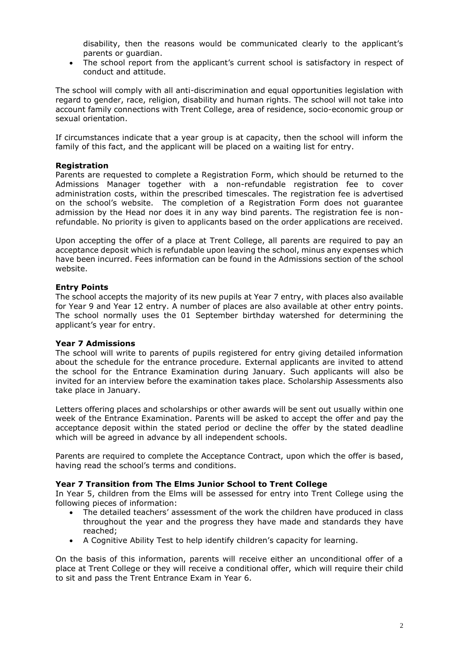disability, then the reasons would be communicated clearly to the applicant's parents or guardian.

• The school report from the applicant's current school is satisfactory in respect of conduct and attitude.

The school will comply with all anti-discrimination and equal opportunities legislation with regard to gender, race, religion, disability and human rights. The school will not take into account family connections with Trent College, area of residence, socio-economic group or sexual orientation.

If circumstances indicate that a year group is at capacity, then the school will inform the family of this fact, and the applicant will be placed on a waiting list for entry.

# **Registration**

Parents are requested to complete a Registration Form, which should be returned to the Admissions Manager together with a non-refundable registration fee to cover administration costs, within the prescribed timescales. The registration fee is advertised on the school's website. The completion of a Registration Form does not guarantee admission by the Head nor does it in any way bind parents. The registration fee is nonrefundable. No priority is given to applicants based on the order applications are received.

Upon accepting the offer of a place at Trent College, all parents are required to pay an acceptance deposit which is refundable upon leaving the school, minus any expenses which have been incurred. Fees information can be found in the Admissions section of the school website.

#### **Entry Points**

The school accepts the majority of its new pupils at Year 7 entry, with places also available for Year 9 and Year 12 entry. A number of places are also available at other entry points. The school normally uses the 01 September birthday watershed for determining the applicant's year for entry.

# **Year 7 Admissions**

The school will write to parents of pupils registered for entry giving detailed information about the schedule for the entrance procedure. External applicants are invited to attend the school for the Entrance Examination during January. Such applicants will also be invited for an interview before the examination takes place. Scholarship Assessments also take place in January.

Letters offering places and scholarships or other awards will be sent out usually within one week of the Entrance Examination. Parents will be asked to accept the offer and pay the acceptance deposit within the stated period or decline the offer by the stated deadline which will be agreed in advance by all independent schools.

Parents are required to complete the Acceptance Contract, upon which the offer is based, having read the school's terms and conditions.

#### **Year 7 Transition from The Elms Junior School to Trent College**

In Year 5, children from the Elms will be assessed for entry into Trent College using the following pieces of information:

- The detailed teachers' assessment of the work the children have produced in class throughout the year and the progress they have made and standards they have reached;
- A Cognitive Ability Test to help identify children's capacity for learning.

On the basis of this information, parents will receive either an unconditional offer of a place at Trent College or they will receive a conditional offer, which will require their child to sit and pass the Trent Entrance Exam in Year 6.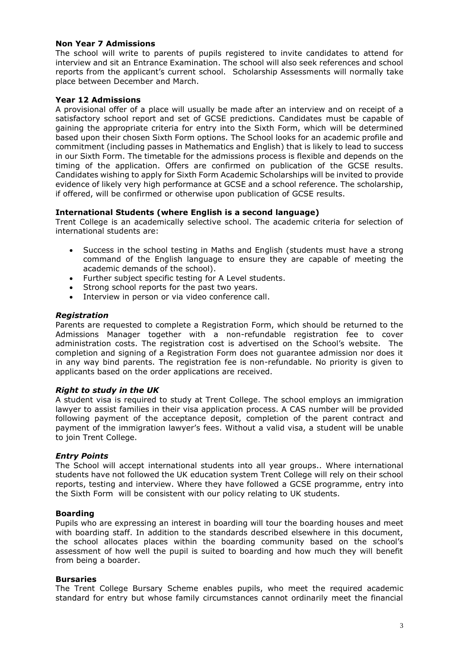# **Non Year 7 Admissions**

The school will write to parents of pupils registered to invite candidates to attend for interview and sit an Entrance Examination. The school will also seek references and school reports from the applicant's current school. Scholarship Assessments will normally take place between December and March.

# **Year 12 Admissions**

A provisional offer of a place will usually be made after an interview and on receipt of a satisfactory school report and set of GCSE predictions. Candidates must be capable of gaining the appropriate criteria for entry into the Sixth Form, which will be determined based upon their chosen Sixth Form options. The School looks for an academic profile and commitment (including passes in Mathematics and English) that is likely to lead to success in our Sixth Form. The timetable for the admissions process is flexible and depends on the timing of the application. Offers are confirmed on publication of the GCSE results. Candidates wishing to apply for Sixth Form Academic Scholarships will be invited to provide evidence of likely very high performance at GCSE and a school reference. The scholarship, if offered, will be confirmed or otherwise upon publication of GCSE results.

# **International Students (where English is a second language)**

Trent College is an academically selective school. The academic criteria for selection of international students are:

- Success in the school testing in Maths and English (students must have a strong command of the English language to ensure they are capable of meeting the academic demands of the school).
- Further subject specific testing for A Level students.
- Strong school reports for the past two years.
- Interview in person or via video conference call.

# *Registration*

Parents are requested to complete a Registration Form, which should be returned to the Admissions Manager together with a non-refundable registration fee to cover administration costs. The registration cost is advertised on the School's website. The completion and signing of a Registration Form does not guarantee admission nor does it in any way bind parents. The registration fee is non-refundable. No priority is given to applicants based on the order applications are received.

# *Right to study in the UK*

A student visa is required to study at Trent College. The school employs an immigration lawyer to assist families in their visa application process. A CAS number will be provided following payment of the acceptance deposit, completion of the parent contract and payment of the immigration lawyer's fees. Without a valid visa, a student will be unable to join Trent College.

# *Entry Points*

The School will accept international students into all year groups.. Where international students have not followed the UK education system Trent College will rely on their school reports, testing and interview. Where they have followed a GCSE programme, entry into the Sixth Form will be consistent with our policy relating to UK students.

# **Boarding**

Pupils who are expressing an interest in boarding will tour the boarding houses and meet with boarding staff. In addition to the standards described elsewhere in this document, the school allocates places within the boarding community based on the school's assessment of how well the pupil is suited to boarding and how much they will benefit from being a boarder.

# **Bursaries**

The Trent College Bursary Scheme enables pupils, who meet the required academic standard for entry but whose family circumstances cannot ordinarily meet the financial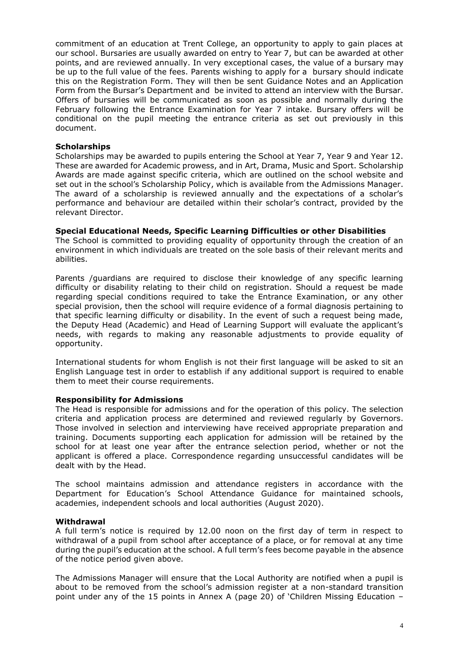commitment of an education at Trent College, an opportunity to apply to gain places at our school. Bursaries are usually awarded on entry to Year 7, but can be awarded at other points, and are reviewed annually. In very exceptional cases, the value of a bursary may be up to the full value of the fees. Parents wishing to apply for a bursary should indicate this on the Registration Form. They will then be sent Guidance Notes and an Application Form from the Bursar's Department and be invited to attend an interview with the Bursar. Offers of bursaries will be communicated as soon as possible and normally during the February following the Entrance Examination for Year 7 intake. Bursary offers will be conditional on the pupil meeting the entrance criteria as set out previously in this document.

# **Scholarships**

Scholarships may be awarded to pupils entering the School at Year 7, Year 9 and Year 12. These are awarded for Academic prowess, and in Art, Drama, Music and Sport. Scholarship Awards are made against specific criteria, which are outlined on the school website and set out in the school's Scholarship Policy, which is available from the Admissions Manager. The award of a scholarship is reviewed annually and the expectations of a scholar's performance and behaviour are detailed within their scholar's contract, provided by the relevant Director.

# **Special Educational Needs, Specific Learning Difficulties or other Disabilities**

The School is committed to providing equality of opportunity through the creation of an environment in which individuals are treated on the sole basis of their relevant merits and abilities.

Parents /guardians are required to disclose their knowledge of any specific learning difficulty or disability relating to their child on registration. Should a request be made regarding special conditions required to take the Entrance Examination, or any other special provision, then the school will require evidence of a formal diagnosis pertaining to that specific learning difficulty or disability. In the event of such a request being made, the Deputy Head (Academic) and Head of Learning Support will evaluate the applicant's needs, with regards to making any reasonable adjustments to provide equality of opportunity.

International students for whom English is not their first language will be asked to sit an English Language test in order to establish if any additional support is required to enable them to meet their course requirements.

# **Responsibility for Admissions**

The Head is responsible for admissions and for the operation of this policy. The selection criteria and application process are determined and reviewed regularly by Governors. Those involved in selection and interviewing have received appropriate preparation and training. Documents supporting each application for admission will be retained by the school for at least one year after the entrance selection period, whether or not the applicant is offered a place. Correspondence regarding unsuccessful candidates will be dealt with by the Head.

The school maintains admission and attendance registers in accordance with the Department for Education's School Attendance Guidance for maintained schools, academies, independent schools and local authorities (August 2020).

# **Withdrawal**

A full term's notice is required by 12.00 noon on the first day of term in respect to withdrawal of a pupil from school after acceptance of a place, or for removal at any time during the pupil's education at the school. A full term's fees become payable in the absence of the notice period given above.

The Admissions Manager will ensure that the Local Authority are notified when a pupil is about to be removed from the school's admission register at a non-standard transition point under any of the 15 points in Annex A (page 20) of 'Children Missing Education –